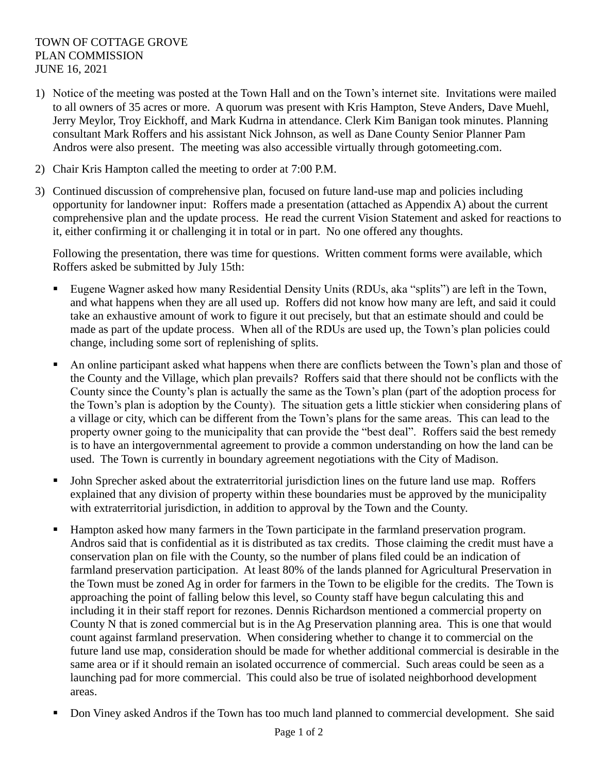## TOWN OF COTTAGE GROVE PLAN COMMISSION JUNE 16, 2021

- 1) Notice of the meeting was posted at the Town Hall and on the Town's internet site. Invitations were mailed to all owners of 35 acres or more. A quorum was present with Kris Hampton, Steve Anders, Dave Muehl, Jerry Meylor, Troy Eickhoff, and Mark Kudrna in attendance. Clerk Kim Banigan took minutes. Planning consultant Mark Roffers and his assistant Nick Johnson, as well as Dane County Senior Planner Pam Andros were also present. The meeting was also accessible virtually through gotomeeting.com.
- 2) Chair Kris Hampton called the meeting to order at 7:00 P.M.
- 3) Continued discussion of comprehensive plan, focused on future land-use map and policies including opportunity for landowner input: Roffers made a presentation (attached as Appendix A) about the current comprehensive plan and the update process. He read the current Vision Statement and asked for reactions to it, either confirming it or challenging it in total or in part. No one offered any thoughts.

Following the presentation, there was time for questions. Written comment forms were available, which Roffers asked be submitted by July 15th:

- Eugene Wagner asked how many Residential Density Units (RDUs, aka "splits") are left in the Town, and what happens when they are all used up. Roffers did not know how many are left, and said it could take an exhaustive amount of work to figure it out precisely, but that an estimate should and could be made as part of the update process. When all of the RDUs are used up, the Town's plan policies could change, including some sort of replenishing of splits.
- An online participant asked what happens when there are conflicts between the Town's plan and those of the County and the Village, which plan prevails? Roffers said that there should not be conflicts with the County since the County's plan is actually the same as the Town's plan (part of the adoption process for the Town's plan is adoption by the County). The situation gets a little stickier when considering plans of a village or city, which can be different from the Town's plans for the same areas. This can lead to the property owner going to the municipality that can provide the "best deal". Roffers said the best remedy is to have an intergovernmental agreement to provide a common understanding on how the land can be used. The Town is currently in boundary agreement negotiations with the City of Madison.
- John Sprecher asked about the extraterritorial jurisdiction lines on the future land use map. Roffers explained that any division of property within these boundaries must be approved by the municipality with extraterritorial jurisdiction, in addition to approval by the Town and the County.
- Hampton asked how many farmers in the Town participate in the farmland preservation program. Andros said that is confidential as it is distributed as tax credits. Those claiming the credit must have a conservation plan on file with the County, so the number of plans filed could be an indication of farmland preservation participation. At least 80% of the lands planned for Agricultural Preservation in the Town must be zoned Ag in order for farmers in the Town to be eligible for the credits. The Town is approaching the point of falling below this level, so County staff have begun calculating this and including it in their staff report for rezones. Dennis Richardson mentioned a commercial property on County N that is zoned commercial but is in the Ag Preservation planning area. This is one that would count against farmland preservation. When considering whether to change it to commercial on the future land use map, consideration should be made for whether additional commercial is desirable in the same area or if it should remain an isolated occurrence of commercial. Such areas could be seen as a launching pad for more commercial. This could also be true of isolated neighborhood development areas.
- Don Viney asked Andros if the Town has too much land planned to commercial development. She said